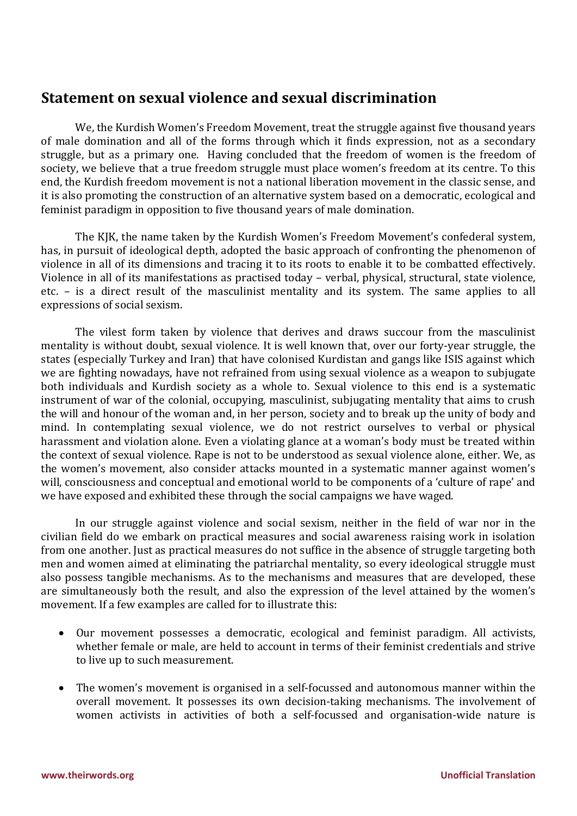## **Statement on sexual violence and sexual discrimination**

We, the Kurdish Women's Freedom Movement, treat the struggle against five thousand years of male domination and all of the forms through which it finds expression, not as a secondary struggle, but as a primary one. Having concluded that the freedom of women is the freedom of society, we believe that a true freedom struggle must place women's freedom at its centre. To this end, the Kurdish freedom movement is not a national liberation movement in the classic sense, and it is also promoting the construction of an alternative system based on a democratic, ecological and feminist paradigm in opposition to five thousand years of male domination.

The KJK, the name taken by the Kurdish Women's Freedom Movement's confederal system, has, in pursuit of ideological depth, adopted the basic approach of confronting the phenomenon of violence in all of its dimensions and tracing it to its roots to enable it to be combatted effectively. Violence in all of its manifestations as practised today – verbal, physical, structural, state violence, etc. – is a direct result of the masculinist mentality and its system. The same applies to all expressions of social sexism.

The vilest form taken by violence that derives and draws succour from the masculinist mentality is without doubt, sexual violence. It is well known that, over our forty-year struggle, the states (especially Turkey and Iran) that have colonised Kurdistan and gangs like ISIS against which we are fighting nowadays, have not refrained from using sexual violence as a weapon to subjugate both individuals and Kurdish society as a whole to. Sexual violence to this end is a systematic instrument of war of the colonial, occupying, masculinist, subjugating mentality that aims to crush the will and honour of the woman and, in her person, society and to break up the unity of body and mind. In contemplating sexual violence, we do not restrict ourselves to verbal or physical harassment and violation alone. Even a violating glance at a woman's body must be treated within the context of sexual violence. Rape is not to be understood as sexual violence alone, either. We, as the women's movement, also consider attacks mounted in a systematic manner against women's will, consciousness and conceptual and emotional world to be components of a 'culture of rape' and we have exposed and exhibited these through the social campaigns we have waged.

In our struggle against violence and social sexism, neither in the field of war nor in the civilian field do we embark on practical measures and social awareness raising work in isolation from one another. Just as practical measures do not suffice in the absence of struggle targeting both men and women aimed at eliminating the patriarchal mentality, so every ideological struggle must also possess tangible mechanisms. As to the mechanisms and measures that are developed, these are simultaneously both the result, and also the expression of the level attained by the women's movement. If a few examples are called for to illustrate this:

- Our movement possesses a democratic, ecological and feminist paradigm. All activists, whether female or male, are held to account in terms of their feminist credentials and strive to live up to such measurement.
- The women's movement is organised in a self-focussed and autonomous manner within the overall movement. It possesses its own decision-taking mechanisms. The involvement of women activists in activities of both a self-focussed and organisation-wide nature is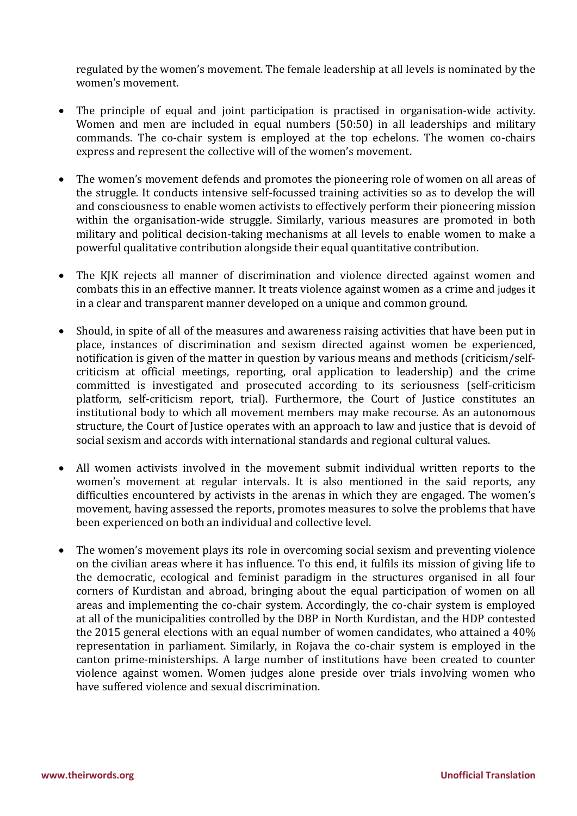regulated by the women's movement. The female leadership at all levels is nominated by the women's movement.

- The principle of equal and joint participation is practised in organisation-wide activity. Women and men are included in equal numbers (50:50) in all leaderships and military commands. The co-chair system is employed at the top echelons. The women co-chairs express and represent the collective will of the women's movement.
- The women's movement defends and promotes the pioneering role of women on all areas of the struggle. It conducts intensive self-focussed training activities so as to develop the will and consciousness to enable women activists to effectively perform their pioneering mission within the organisation-wide struggle. Similarly, various measures are promoted in both military and political decision-taking mechanisms at all levels to enable women to make a powerful qualitative contribution alongside their equal quantitative contribution.
- The KJK rejects all manner of discrimination and violence directed against women and combats this in an effective manner. It treats violence against women as a crime and judges it in a clear and transparent manner developed on a unique and common ground.
- Should, in spite of all of the measures and awareness raising activities that have been put in place, instances of discrimination and sexism directed against women be experienced, notification is given of the matter in question by various means and methods (criticism/selfcriticism at official meetings, reporting, oral application to leadership) and the crime committed is investigated and prosecuted according to its seriousness (self-criticism platform, self-criticism report, trial). Furthermore, the Court of Justice constitutes an institutional body to which all movement members may make recourse. As an autonomous structure, the Court of Justice operates with an approach to law and justice that is devoid of social sexism and accords with international standards and regional cultural values.
- All women activists involved in the movement submit individual written reports to the women's movement at regular intervals. It is also mentioned in the said reports, any difficulties encountered by activists in the arenas in which they are engaged. The women's movement, having assessed the reports, promotes measures to solve the problems that have been experienced on both an individual and collective level.
- The women's movement plays its role in overcoming social sexism and preventing violence on the civilian areas where it has influence. To this end, it fulfils its mission of giving life to the democratic, ecological and feminist paradigm in the structures organised in all four corners of Kurdistan and abroad, bringing about the equal participation of women on all areas and implementing the co-chair system. Accordingly, the co-chair system is employed at all of the municipalities controlled by the DBP in North Kurdistan, and the HDP contested the 2015 general elections with an equal number of women candidates, who attained a 40% representation in parliament. Similarly, in Rojava the co-chair system is employed in the canton prime-ministerships. A large number of institutions have been created to counter violence against women. Women judges alone preside over trials involving women who have suffered violence and sexual discrimination.